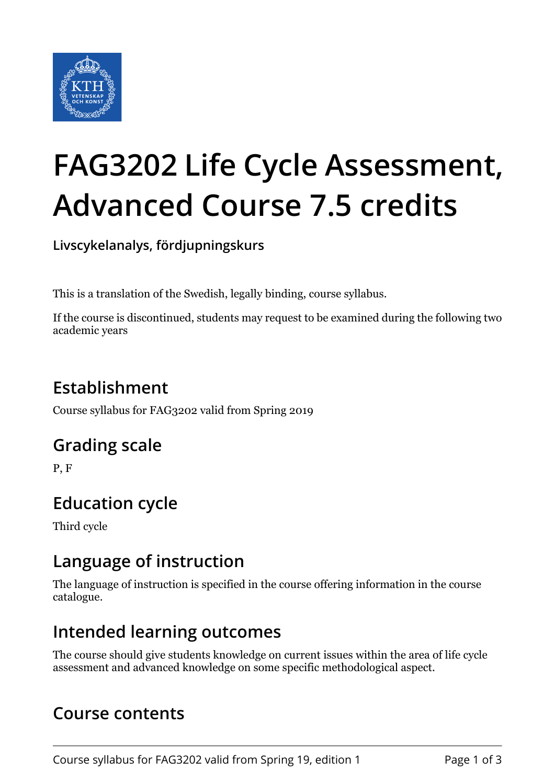

# **FAG3202 Life Cycle Assessment, Advanced Course 7.5 credits**

**Livscykelanalys, fördjupningskurs**

This is a translation of the Swedish, legally binding, course syllabus.

If the course is discontinued, students may request to be examined during the following two academic years

# **Establishment**

Course syllabus for FAG3202 valid from Spring 2019

## **Grading scale**

P, F

# **Education cycle**

Third cycle

#### **Language of instruction**

The language of instruction is specified in the course offering information in the course catalogue.

#### **Intended learning outcomes**

The course should give students knowledge on current issues within the area of life cycle assessment and advanced knowledge on some specific methodological aspect.

#### **Course contents**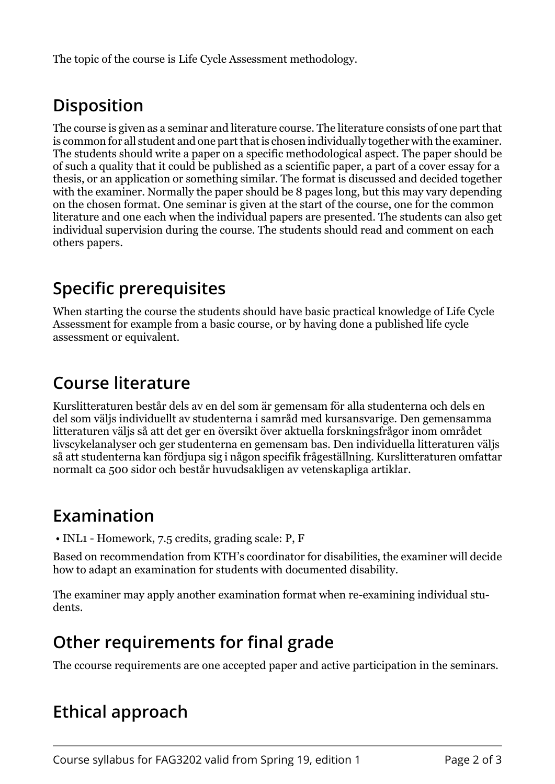The topic of the course is Life Cycle Assessment methodology.

# **Disposition**

The course is given as a seminar and literature course. The literature consists of one part that is common for all student and one part that is chosen individually together with the examiner. The students should write a paper on a specific methodological aspect. The paper should be of such a quality that it could be published as a scientific paper, a part of a cover essay for a thesis, or an application or something similar. The format is discussed and decided together with the examiner. Normally the paper should be 8 pages long, but this may vary depending on the chosen format. One seminar is given at the start of the course, one for the common literature and one each when the individual papers are presented. The students can also get individual supervision during the course. The students should read and comment on each others papers.

# **Specific prerequisites**

When starting the course the students should have basic practical knowledge of Life Cycle Assessment for example from a basic course, or by having done a published life cycle assessment or equivalent.

## **Course literature**

Kurslitteraturen består dels av en del som är gemensam för alla studenterna och dels en del som väljs individuellt av studenterna i samråd med kursansvarige. Den gemensamma litteraturen väljs så att det ger en översikt över aktuella forskningsfrågor inom området livscykelanalyser och ger studenterna en gemensam bas. Den individuella litteraturen väljs så att studenterna kan fördjupa sig i någon specifik frågeställning. Kurslitteraturen omfattar normalt ca 500 sidor och består huvudsakligen av vetenskapliga artiklar.

## **Examination**

• INL1 - Homework, 7.5 credits, grading scale: P, F

Based on recommendation from KTH's coordinator for disabilities, the examiner will decide how to adapt an examination for students with documented disability.

The examiner may apply another examination format when re-examining individual students.

## **Other requirements for final grade**

The ccourse requirements are one accepted paper and active participation in the seminars.

## **Ethical approach**